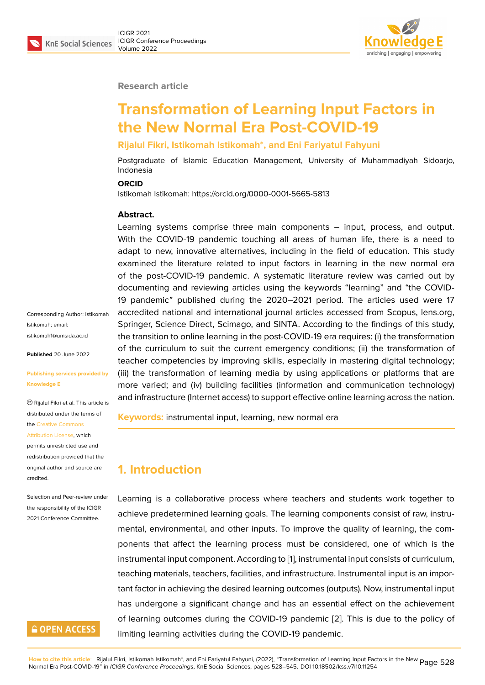

#### **Research article**

# **Transformation of Learning Input Factors in the New Normal Era Post-COVID-19**

#### **Rijalul Fikri, Istikomah Istikomah\*, and Eni Fariyatul Fahyuni**

Postgraduate of Islamic Education Management, University of Muhammadiyah Sidoarjo, Indonesia

#### **ORCID**

Istikomah Istikomah: https://orcid.org/0000-0001-5665-5813

#### **Abstract.**

Learning systems comprise three main components – input, process, and output. With the COVID-19 pandemic touching all areas of human life, there is a need to adapt to new, innovative alternatives, including in the field of education. This study examined the literature related to input factors in learning in the new normal era of the post-COVID-19 pandemic. A systematic literature review was carried out by documenting and reviewing articles using the keywords "learning" and "the COVID-19 pandemic" published during the 2020–2021 period. The articles used were 17 accredited national and international journal articles accessed from Scopus, lens.org, Springer, Science Direct, Scimago, and SINTA. According to the findings of this study, the transition to online learning in the post-COVID-19 era requires: (i) the transformation of the curriculum to suit the current emergency conditions; (ii) the transformation of teacher competencies by improving skills, especially in mastering digital technology; (iii) the transformation of learning media by using applications or platforms that are more varied; and (iv) building facilities (information and communication technology) and infrastructure (Internet access) to support effective online learning across the nation.

**Keywords:** instrumental input, learning, new normal era

### **1. Introduction**

Learning is a collaborative process where teachers and students work together to achieve predetermined learning goals. The learning components consist of raw, instrumental, environmental, and other inputs. To improve the quality of learning, the components that affect the learning process must be considered, one of which is the instrumental input component. According to [1], instrumental input consists of curriculum, teaching materials, teachers, facilities, and infrastructure. Instrumental input is an important factor in achieving the desired learning outcomes (outputs). Now, instrumental input has undergone a significant change and h[as](#page-14-0) an essential effect on the achievement of learning outcomes during the COVID-19 pandemic [2]. This is due to the policy of limiting learning activities during the COVID-19 pandemic.

Corresponding Author: Istikomah Istikomah; email: istikomah1@umsida.ac.id

**Published** 20 June 2022

#### **[Publishing services prov](mailto:istikomah1@umsida.ac.id)ided by Knowledge E**

Rijalul Fikri et al. This article is distributed under the terms of the Creative Commons

#### Attribution License, which

permits unrestricted use and redistribution provided that the orig[inal author and sou](https://creativecommons.org/licenses/by/4.0/)rce are [credited.](https://creativecommons.org/licenses/by/4.0/)

#### Selection and Peer-review under the responsibility of the ICIGR 2021 Conference Committee.

### **GOPEN ACCESS**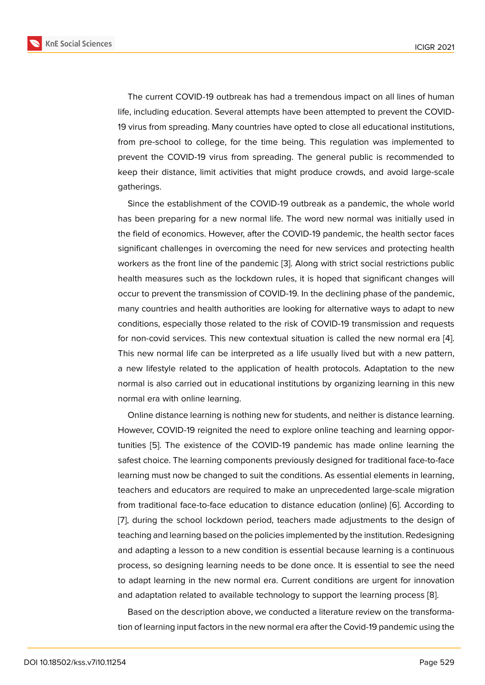The current COVID-19 outbreak has had a tremendous impact on all lines of human life, including education. Several attempts have been attempted to prevent the COVID-19 virus from spreading. Many countries have opted to close all educational institutions, from pre-school to college, for the time being. This regulation was implemented to prevent the COVID-19 virus from spreading. The general public is recommended to keep their distance, limit activities that might produce crowds, and avoid large-scale gatherings.

Since the establishment of the COVID-19 outbreak as a pandemic, the whole world has been preparing for a new normal life. The word new normal was initially used in the field of economics. However, after the COVID-19 pandemic, the health sector faces significant challenges in overcoming the need for new services and protecting health workers as the front line of the pandemic [3]. Along with strict social restrictions public health measures such as the lockdown rules, it is hoped that significant changes will occur to prevent the transmission of COVID-19. In the declining phase of the pandemic, many countries and health authorities are [lo](#page-14-2)oking for alternative ways to adapt to new conditions, especially those related to the risk of COVID-19 transmission and requests for non-covid services. This new contextual situation is called the new normal era [4]. This new normal life can be interpreted as a life usually lived but with a new pattern, a new lifestyle related to the application of health protocols. Adaptation to the new normal is also carried out in educational institutions by organizing learning in this n[ew](#page-14-3) normal era with online learning.

Online distance learning is nothing new for students, and neither is distance learning. However, COVID-19 reignited the need to explore online teaching and learning opportunities [5]. The existence of the COVID-19 pandemic has made online learning the safest choice. The learning components previously designed for traditional face-to-face learning must now be changed to suit the conditions. As essential elements in learning, teachers [a](#page-14-4)nd educators are required to make an unprecedented large-scale migration from traditional face-to-face education to distance education (online) [6]. According to [7], during the school lockdown period, teachers made adjustments to the design of teaching and learning based on the policies implemented by the institution. Redesigning and adapting a lesson to a new condition is essential because learnin[g i](#page-14-5)s a continuous [pr](#page-14-6)ocess, so designing learning needs to be done once. It is essential to see the need to adapt learning in the new normal era. Current conditions are urgent for innovation and adaptation related to available technology to support the learning process [8].

Based on the description above, we conducted a literature review on the transformation of learning input factors in the new normal era after the Covid-19 pandemic using the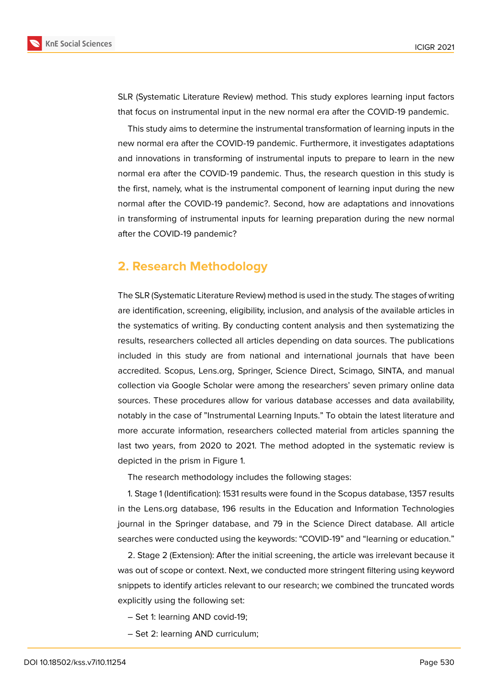SLR (Systematic Literature Review) method. This study explores learning input factors that focus on instrumental input in the new normal era after the COVID-19 pandemic.

This study aims to determine the instrumental transformation of learning inputs in the new normal era after the COVID-19 pandemic. Furthermore, it investigates adaptations and innovations in transforming of instrumental inputs to prepare to learn in the new normal era after the COVID-19 pandemic. Thus, the research question in this study is the first, namely, what is the instrumental component of learning input during the new normal after the COVID-19 pandemic?. Second, how are adaptations and innovations in transforming of instrumental inputs for learning preparation during the new normal after the COVID-19 pandemic?

### **2. Research Methodology**

The SLR (Systematic Literature Review) method is used in the study. The stages of writing are identification, screening, eligibility, inclusion, and analysis of the available articles in the systematics of writing. By conducting content analysis and then systematizing the results, researchers collected all articles depending on data sources. The publications included in this study are from national and international journals that have been accredited. Scopus, Lens.org, Springer, Science Direct, Scimago, SINTA, and manual collection via Google Scholar were among the researchers' seven primary online data sources. These procedures allow for various database accesses and data availability, notably in the case of "Instrumental Learning Inputs." To obtain the latest literature and more accurate information, researchers collected material from articles spanning the last two years, from 2020 to 2021. The method adopted in the systematic review is depicted in the prism in Figure 1.

The research methodology includes the following stages:

1. Stage 1 (Identification): 1531 [r](#page-3-0)esults were found in the Scopus database, 1357 results in the Lens.org database, 196 results in the Education and Information Technologies journal in the Springer database, and 79 in the Science Direct database. All article searches were conducted using the keywords: "COVID-19" and "learning or education."

2. Stage 2 (Extension): After the initial screening, the article was irrelevant because it was out of scope or context. Next, we conducted more stringent filtering using keyword snippets to identify articles relevant to our research; we combined the truncated words explicitly using the following set:

- Set 1: learning AND covid-19;
- Set 2: learning AND curriculum;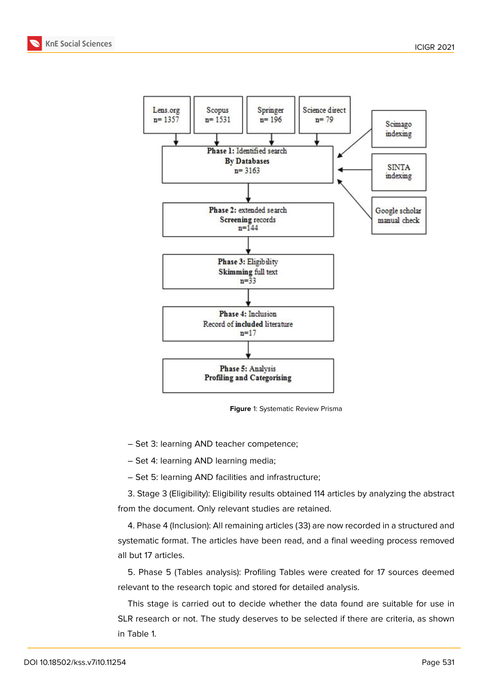



<span id="page-3-0"></span>**Figure** 1: Systematic Review Prisma

– Set 3: learning AND teacher competence;

– Set 4: learning AND learning media;

– Set 5: learning AND facilities and infrastructure;

3. Stage 3 (Eligibility): Eligibility results obtained 114 articles by analyzing the abstract from the document. Only relevant studies are retained.

4. Phase 4 (Inclusion): All remaining articles (33) are now recorded in a structured and systematic format. The articles have been read, and a final weeding process removed all but 17 articles.

5. Phase 5 (Tables analysis): Profiling Tables were created for 17 sources deemed relevant to the research topic and stored for detailed analysis.

This stage is carried out to decide whether the data found are suitable for use in SLR research or not. The study deserves to be selected if there are criteria, as shown in Table 1.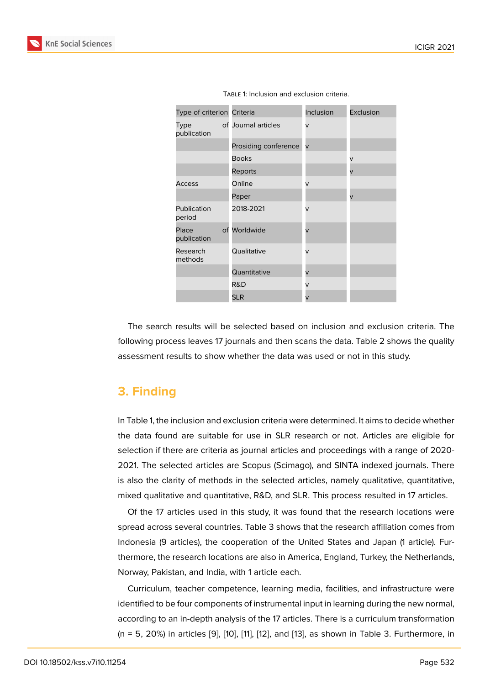| Type of criterion Criteria |                      | Inclusion               | Exclusion |  |
|----------------------------|----------------------|-------------------------|-----------|--|
| <b>Type</b><br>publication | of Journal articles  | v                       |           |  |
|                            | Prosiding conference | $\overline{\mathsf{v}}$ |           |  |
|                            | <b>Books</b>         |                         | $\vee$    |  |
|                            | Reports              |                         | V         |  |
| Access                     | Online               | v                       |           |  |
|                            | Paper                |                         | V         |  |
| Publication<br>period      | 2018-2021            | v                       |           |  |
| Place<br>publication       | of Worldwide         | $\overline{\mathsf{v}}$ |           |  |
| Research<br>methods        | Qualitative          | $\vee$                  |           |  |
|                            | Quantitative         | v                       |           |  |
|                            | R&D                  | v                       |           |  |
|                            | <b>SLR</b>           | V                       |           |  |

The search results will be selected based on inclusion and exclusion criteria. The following process leaves 17 journals and then scans the data. Table 2 shows the quality assessment results to show whether the data was used or not in this study.

### **3. Finding**

In Table 1, the inclusion and exclusion criteria were determined. It aims to decide whether the data found are suitable for use in SLR research or not. Articles are eligible for selection if there are criteria as journal articles and proceedings with a range of 2020- 2021. The selected articles are Scopus (Scimago), and SINTA indexed journals. There is also the clarity of methods in the selected articles, namely qualitative, quantitative, mixed qualitative and quantitative, R&D, and SLR. This process resulted in 17 articles.

Of the 17 articles used in this study, it was found that the research locations were spread across several countries. Table 3 shows that the research affiliation comes from Indonesia (9 articles), the cooperation of the United States and Japan (1 article). Furthermore, the research locations are also in America, England, Turkey, the Netherlands, Norway, Pakistan, and India, with 1 article each.

Curriculum, teacher competence, learning media, facilities, and infrastructure were identified to be four components of instrumental input in learning during the new normal, according to an in-depth analysis of the 17 articles. There is a curriculum transformation (n = 5, 20%) in articles [9], [10], [11], [12], and [13], as shown in Table 3. Furthermore, in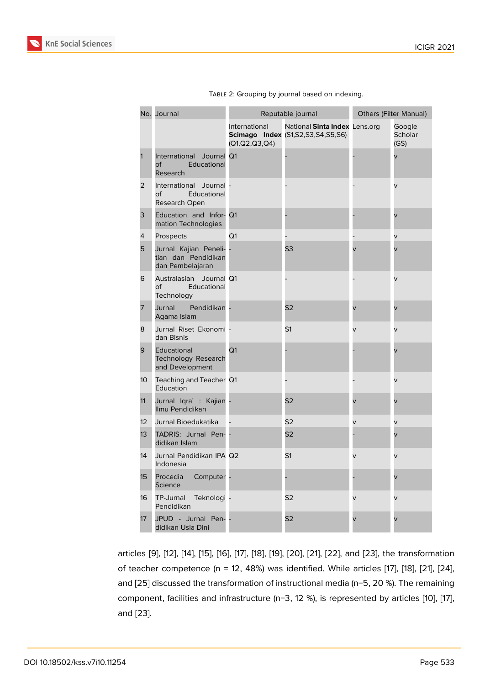| No. | Journal                                                          | Reputable journal              |                                                                                | <b>Others (Filter Manual)</b> |                           |
|-----|------------------------------------------------------------------|--------------------------------|--------------------------------------------------------------------------------|-------------------------------|---------------------------|
|     |                                                                  | International<br>(Q1,Q2,Q3,Q4) | National Sinta Index Lens.org<br><b>Scimago Index (S1, S2, S3, S4, S5, S6)</b> |                               | Google<br>Scholar<br>(GS) |
| 1   | International<br>Journal<br>Educational<br>of<br>Research        | Q <sub>1</sub>                 |                                                                                |                               |                           |
| 2   | International<br>Journal -<br>Educational<br>of<br>Research Open |                                |                                                                                |                               | V                         |
| З   | Education and Infor- Q1<br>mation Technologies                   |                                |                                                                                |                               |                           |
| 4   | Prospects                                                        | Q1                             |                                                                                |                               | V                         |
| 5   | Jurnal Kajian Peneli-<br>tian dan Pendidikan<br>dan Pembelajaran |                                | S3                                                                             |                               |                           |
| 6   | Journal Q1<br>Australasian<br>оf<br>Educational<br>Technology    |                                |                                                                                |                               | V                         |
| 7   | Jurnal<br>Pendidikan -<br>Agama Islam                            |                                | S <sub>2</sub>                                                                 | V                             | V                         |
| 8   | Jurnal Riset Ekonomi -<br>dan Bisnis                             |                                | S <sub>1</sub>                                                                 | V                             | V                         |
| 9   | Educational<br><b>Technology Research</b><br>and Development     | Q <sub>1</sub>                 |                                                                                |                               |                           |
| 10  | Teaching and Teacher Q1<br>Education                             |                                |                                                                                |                               | V                         |
| 11  | Jurnal Iqra': Kajian<br>Ilmu Pendidikan                          |                                | S <sub>2</sub>                                                                 |                               | V                         |
| 12  | Jurnal Bioedukatika                                              |                                | S <sub>2</sub>                                                                 | V                             | V                         |
| 13  | TADRIS: Jurnal Pen- -<br>didikan Islam                           |                                | S <sub>2</sub>                                                                 |                               |                           |
| 14  | Jurnal Pendidikan IPA Q2<br>Indonesia                            |                                | S <sub>1</sub>                                                                 | V                             | V                         |
| 15  | Procedia<br>Computer -<br><b>Science</b>                         |                                |                                                                                |                               |                           |
| 16  | TP-Jurnal<br>Teknologi -<br>Pendidikan                           |                                | S <sub>2</sub>                                                                 | V                             | V                         |
| 17  | JPUD - Jurnal Pen- -<br>didikan Usia Dini                        |                                | S <sub>2</sub>                                                                 | V                             | V                         |

|  | TABLE 2: Grouping by journal based on indexing. |  |  |  |
|--|-------------------------------------------------|--|--|--|
|  |                                                 |  |  |  |

articles [9], [12], [14], [15], [16], [17], [18], [19], [20], [21], [22], and [23], the transformation of teacher competence (n = 12, 48%) was identified. While articles [17], [18], [21], [24], and [25] discussed the transformation of instructional media (n=5, 20 %). The remaining compon[en](#page-14-7)t, [fa](#page-15-0)cil[itie](#page-15-1)s [an](#page-15-2)d [inf](#page-15-3)ra[str](#page-15-4)u[ctu](#page-15-5)re [\(n](#page-15-6)=[3, 12](#page-15-7) [%\),](#page-16-0) is [rep](#page-16-1)resen[ted](#page-16-2) by articles [10], [17], and [23].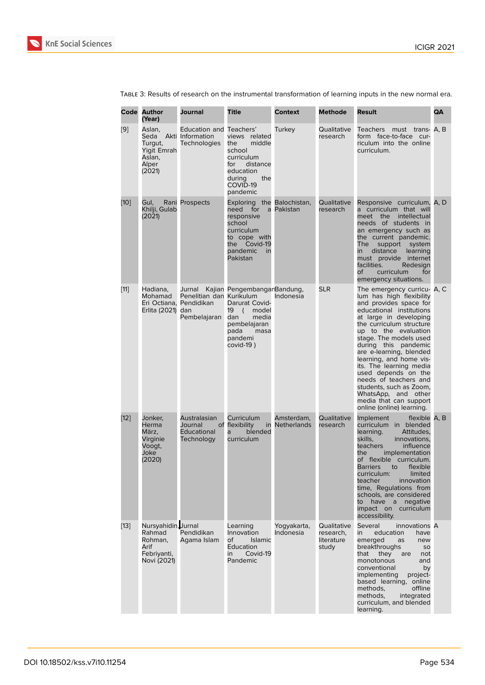| Code   | <b>Author</b><br>(Year)                                                        | Journal                                                                       | <b>Title</b>                                                                                                                                       | <b>Context</b>                   | <b>Methode</b>                                  | Result                                                                                                                                                                                                                                                                                                                                                                                                                                                                                  | QA |
|--------|--------------------------------------------------------------------------------|-------------------------------------------------------------------------------|----------------------------------------------------------------------------------------------------------------------------------------------------|----------------------------------|-------------------------------------------------|-----------------------------------------------------------------------------------------------------------------------------------------------------------------------------------------------------------------------------------------------------------------------------------------------------------------------------------------------------------------------------------------------------------------------------------------------------------------------------------------|----|
| [9]    | Aslan,<br>Seda<br>Turgut,<br>Yigit Emrah<br>Aslan,<br>Alper<br>(2021)          | Education and Teachers'<br>Akti Information<br><b>Technologies</b>            | views related<br>the<br>middle<br>school<br>curriculum<br>distance<br>for<br>education<br>during<br>the<br>COVID-19<br>pandemic                    | Turkey                           | Qualitative<br>research                         | must trans- A, B<br>Teachers<br>form face-to-face cur-<br>riculum into the online<br>curriculum.                                                                                                                                                                                                                                                                                                                                                                                        |    |
| $[10]$ | Gul.<br>Khilji, Gulab<br>(2021)                                                | Rani Prospects                                                                | Exploring the Balochistan,<br>need for<br>a<br>responsive<br>school<br>curriculum<br>to cope with<br>the<br>Covid-19<br>pandemic<br>in<br>Pakistan | Pakistan                         | Qualitative<br>research                         | Responsive curriculum, A, D<br>a curriculum that will<br>meet the<br>intellectual<br>needs of students in<br>an emergency such as<br>the current pandemic.<br>The<br>support<br>system<br>distance<br>learning<br>in<br>must provide internet<br>facilities.<br>Redesign<br>of<br>curriculum<br>for<br>emergency situations.                                                                                                                                                            |    |
| $[11]$ | Hadiana,<br>Mohamad<br>Erlita (2021) dan                                       | Jurnal<br>Penelitian dan Kurikulum<br>Eri Octiana, Pendidikan<br>Pembelajaran | Kajian PengembanganBandung,<br>Darurat Covid-<br>19<br>( model<br>dan<br>media<br>pembelajaran<br>pada<br>masa<br>pandemi<br>covid-19)             | Indonesia                        | <b>SLR</b>                                      | The emergency curricu- A, C<br>lum has high flexibility<br>and provides space for<br>educational institutions<br>at large in developing<br>the curriculum structure<br>up to the evaluation<br>stage. The models used<br>during this pandemic<br>are e-learning, blended<br>learning, and home vis-<br>its. The learning media<br>used depends on the<br>needs of teachers and<br>students, such as Zoom,<br>WhatsApp, and other<br>media that can support<br>online (online) learning. |    |
| $[12]$ | Jonker.<br>Herma<br>März,<br>Virginie<br>Voogt,<br>Joke<br>(2020)              | Australasian<br>Journal<br><b>Educational</b><br>Technology                   | Curriculum<br>of flexibility<br>in<br>blended<br>a<br>curriculum                                                                                   | Amsterdam,<br><b>Netherlands</b> | Qualitative<br>research                         | Implement<br>flexible A. B<br>curriculum in blended<br>learning.<br>Attitudes,<br>skills,<br>innovations.<br>teachers<br>influence<br>the<br>implementation<br>of flexible curriculum.<br>Barriers to flexible<br>curriculum:<br>limited<br>teacher<br>innovation<br>time, Regulations from<br>schools, are considered<br>to have a negative<br>impact on curriculum<br>accessibility.                                                                                                  |    |
| $[13]$ | Nursyahidin, Jurnal<br>Rahmad<br>Rohman,<br>Arif<br>Febriyanti,<br>Novi (2021) | Pendidikan<br>Agama Islam                                                     | Learning<br>Innovation<br>of<br><b>Islamic</b><br>Education<br>Covid-19<br>in<br>Pandemic                                                          | Yogyakarta,<br>Indonesia         | Qualitative<br>research,<br>literature<br>study | Several<br>innovations A<br>education<br>in<br>have<br>emerged<br>as<br>new<br>breakthroughs<br>SO<br>that<br>they<br>are<br>not<br>monotonous<br>and<br>conventional<br>by<br>implementing<br>project-<br>based learning, online<br>methods,<br>offline<br>methods,<br>integrated<br>curriculum, and blended<br>learning.                                                                                                                                                              |    |

Table 3: Results of research on the instrumental transformation of learning inputs in the new normal era.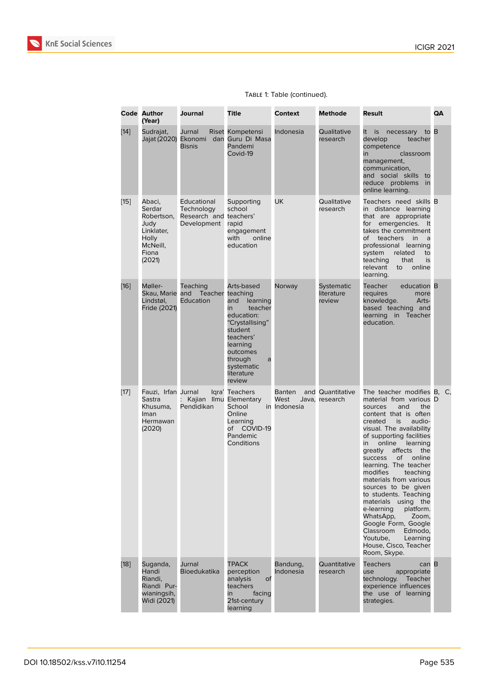|        | <b>Code Author</b><br>(Year)                                                                 | Journal                                                            | <b>Title</b>                                                                                                                                                                                      | <b>Context</b>                        | <b>Methode</b>                     | Result                                                                                                                                                                                                                                                                                                                                                                                                                                                                                                                                                                                                      | QA |
|--------|----------------------------------------------------------------------------------------------|--------------------------------------------------------------------|---------------------------------------------------------------------------------------------------------------------------------------------------------------------------------------------------|---------------------------------------|------------------------------------|-------------------------------------------------------------------------------------------------------------------------------------------------------------------------------------------------------------------------------------------------------------------------------------------------------------------------------------------------------------------------------------------------------------------------------------------------------------------------------------------------------------------------------------------------------------------------------------------------------------|----|
| $[14]$ | Sudrajat,                                                                                    | Jurnal<br>Jajat (2020) Ekonomi dan<br><b>Bisnis</b>                | Riset Kompetensi<br>Guru Di Masa<br>Pandemi<br>Covid-19                                                                                                                                           | Indonesia                             | Qualitative<br>research            | to B<br>It is necessary<br>develop<br>teacher<br>competence<br>classroom<br>in<br>management,<br>communication,<br>and social skills to<br>reduce problems<br>in<br>online learning.                                                                                                                                                                                                                                                                                                                                                                                                                        |    |
| $[15]$ | Abaci,<br>Serdar<br>Robertson,<br>Judy<br>Linklater,<br>Holly<br>McNeill,<br>Fiona<br>(2021) | Educational<br>Technology<br>Research and teachers'<br>Development | Supporting<br>school<br>rapid<br>engagement<br>with<br>online<br>education                                                                                                                        | <b>UK</b>                             | Qualitative<br>research            | Teachers need skills B<br>in distance learning<br>that are appropriate<br>for emergencies.<br>It<br>takes the commitment<br>of teachers<br><i>in</i><br>a<br>professional learning<br>system<br>related<br>to<br>teaching<br>that<br>is<br>relevant<br>online<br>to<br>learning.                                                                                                                                                                                                                                                                                                                            |    |
| $[16]$ | Møller-<br>Skau, Marie and<br>Lindstøl,<br>Fride (2021)                                      | Teaching<br>Teacher<br>Education                                   | Arts-based<br>teaching<br>learning<br>and<br>teacher<br>in<br>education:<br>"Crystallising"<br>student<br>teachers'<br>learning<br>outcomes<br>through<br>a<br>systematic<br>literature<br>review | Norway                                | Systematic<br>literature<br>review | education B<br>Teacher<br>requires<br>more<br>knowledge.<br>Arts-<br>based teaching and<br>learning in Teacher<br>education.                                                                                                                                                                                                                                                                                                                                                                                                                                                                                |    |
| $[17]$ | Fauzi, Irfan Jurnal<br>Sastra<br>Khusuma,<br>Iman<br>Hermawan<br>(2020)                      | Kajian Ilmu Elementary<br>Pendidikan                               | Igra' Teachers<br>School<br>Online<br>Learning<br>COVID-19<br>of<br>Pandemic<br>Conditions                                                                                                        | <b>Banten</b><br>West<br>in Indonesia | and Quantitative<br>Java, research | The teacher modifies B, C,<br>material from various D<br>the<br>and<br>sources<br>content that is often<br>created<br>is<br>audio-<br>visual. The availability<br>of supporting facilities<br>online<br>learning<br>in<br>affects<br>qreatly<br>the<br>online<br>οf<br><b>success</b><br>learning. The teacher<br>modifies<br>teaching<br>materials from various<br>sources to be given<br>to students. Teaching<br>materials<br>using the<br>platform.<br>e-learning<br>WhatsApp,<br>Zoom,<br>Google Form, Google<br>Classroom<br>Edmodo,<br>Youtube.<br>Learning<br>House, Cisco, Teacher<br>Room, Skype. |    |
| $[18]$ | Suganda,<br>Handi<br>Riandi,<br>Riandi Pur-<br>wianingsih,<br>Widi (2021)                    | Jurnal<br><b>Bioedukatika</b>                                      | <b>TPACK</b><br>perception<br>analysis<br><b>of</b><br>teachers<br>in<br>facing<br>21st-century<br>learning                                                                                       | Bandung,<br>Indonesia                 | Quantitative<br>research           | <b>Teachers</b><br>can B<br>appropriate<br>use<br>technology.<br>Teacher<br>experience influences<br>the use of learning<br>strategies.                                                                                                                                                                                                                                                                                                                                                                                                                                                                     |    |

#### Table 1: Table (continued).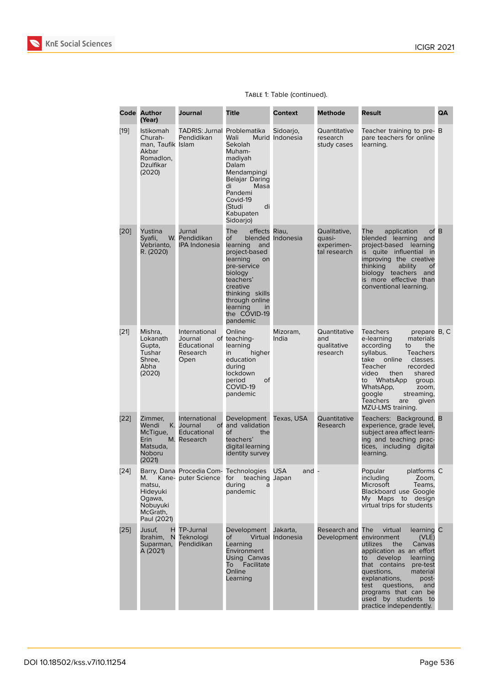|        | <b>Code Author</b><br>(Year)                                                                  | Journal                                                       | <b>Title</b>                                                                                                                                                                                                           | <b>Context</b>                | <b>Methode</b>                                       | <b>Result</b>                                                                                                                                                                                                                                                                                                                       | QA   |
|--------|-----------------------------------------------------------------------------------------------|---------------------------------------------------------------|------------------------------------------------------------------------------------------------------------------------------------------------------------------------------------------------------------------------|-------------------------------|------------------------------------------------------|-------------------------------------------------------------------------------------------------------------------------------------------------------------------------------------------------------------------------------------------------------------------------------------------------------------------------------------|------|
| $[19]$ | <b>Istikomah</b><br>Churah-<br>man, Taufik Islam<br>Akbar<br>Romadlon,<br>Dzulfikar<br>(2020) | <b>TADRIS: Jurnal Problematika</b><br>Pendidikan              | Wali<br>Sekolah<br>Muham-<br>madiyah<br>Dalam<br>Mendampingi<br>Belajar Daring<br>di<br>Masa<br>Pandemi<br>Covid-19<br>di<br>(Studi<br>Kabupaten<br>Sidoarjo)                                                          | Sidoarjo,<br>Murid Indonesia  | Quantitative<br>research<br>study cases              | Teacher training to pre- B<br>pare teachers for online<br>learning.                                                                                                                                                                                                                                                                 |      |
| [20]   | Yustina<br>Syafii,<br>Vebrianto,<br>R. (2020)                                                 | Jurnal<br>W. Pendidikan<br><b>IPA Indonesia</b>               | The<br>effects Riau,<br>of<br>learning<br>and<br>project-based<br>learning<br>on<br>pre-service<br>biology<br>teachers'<br>creative<br>thinking skills<br>through online<br>learning<br>in<br>the COVID-19<br>pandemic | blended Indonesia             | Qualitative,<br>quasi-<br>experimen-<br>tal research | application<br>The<br>blended learning and<br>project-based learning<br>is quite influential in<br>improving the creative<br>thinking<br>ability<br>οf<br>biology teachers<br>and<br>is more effective than<br>conventional learning.                                                                                               | of B |
| [21]   | Mishra,<br>Lokanath<br>Gupta,<br>Tushar<br>Shree.<br>Abha<br>(2020)                           | International<br>Journal<br>Educational<br>Research<br>Open   | Online<br>of teaching-<br>learning<br>higher<br>in<br>education<br>during<br>lockdown<br>period<br>οf<br>COVID-19<br>pandemic                                                                                          | Mizoram,<br>India             | Quantitative<br>and<br>qualitative<br>research       | <b>Teachers</b><br>prepare B, C<br>materials<br>e-learning<br>according<br>the<br>to<br>syllabus.<br><b>Teachers</b><br>take<br>online<br>classes.<br>Teacher<br>recorded<br>video<br>then<br>shared<br>to WhatsApp<br>group.<br>WhatsApp,<br>zoom,<br>google<br>streaming,<br><b>Teachers</b><br>are<br>given<br>MZU-LMS training. |      |
| [22]   | Zimmer,<br>Κ.<br>Wendi<br>McTique,<br>Erin<br>Matsuda,<br><b>Noboru</b><br>(2021)             | International<br>Journal<br>Educational<br>M. Research        | Development<br>of and validation<br>Οf<br>the<br>teachers'<br>digital learning<br>identity survey                                                                                                                      | Texas, USA                    | Quantitative<br>Research                             | Teachers: Background, B<br>experience, grade level,<br>subject area affect learn-<br>ing and teaching prac-<br>tices, including digital<br>learning.                                                                                                                                                                                |      |
| $[24]$ | М.<br>matsu,<br>Hideyuki<br>Ogawa,<br>Nobuyuki<br>McGrath,<br>Paul (2021)                     | Barry, Dana Procedia Com- Technologies<br>Kane- puter Science | for<br>teaching Japan<br>during<br>pandemic                                                                                                                                                                            | <b>USA</b><br>and -           |                                                      | Popular<br>platforms C<br>including<br>Zoom,<br><b>Microsoft</b><br>Teams,<br><b>Blackboard use Google</b><br>My Maps to design<br>virtual trips for students                                                                                                                                                                       |      |
| $[25]$ | Jusuf,<br>Ibrahim,<br>N<br>Suparman,<br>A (2021)                                              | H TP-Jurnal<br>Teknologi<br>Pendidikan                        | Development<br>of<br>Learning<br>Environment<br>Using Canvas<br>Facilitate<br>To<br>Online<br>Learning                                                                                                                 | Jakarta,<br>Virtual Indonesia | Research and<br>Development                          | The<br>virtual<br>learning C<br>environment<br>(VLE)<br>utilizes<br>the<br>Canvas<br>application as an effort<br>develop<br>to<br>learning<br>that contains<br>pre-test<br>questions,<br>material<br>explanations,<br>post-<br>test<br>questions,<br>and<br>programs that can be<br>used by students to<br>practice independently.  |      |

#### Table 1: Table (continued).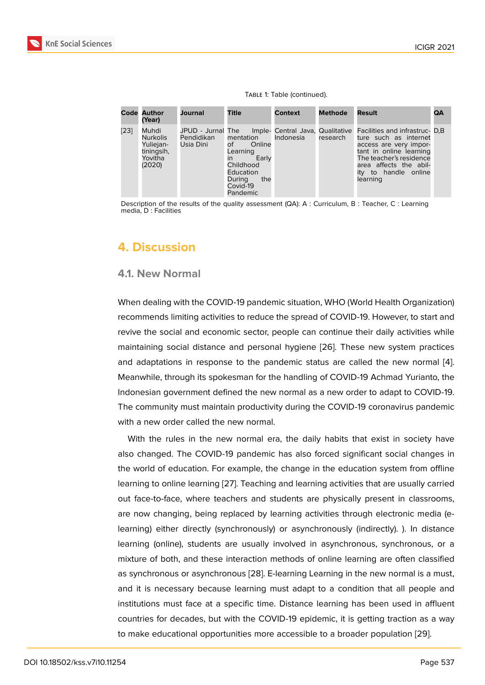#### Table 1: Table (continued).

|      | <b>Code Author</b><br>(Year)                                             | Journal                           | Title                                                                                                                  | <b>Context</b> | <b>Methode</b> | Result                                                                                                                                                                                                                                                            | QA |
|------|--------------------------------------------------------------------------|-----------------------------------|------------------------------------------------------------------------------------------------------------------------|----------------|----------------|-------------------------------------------------------------------------------------------------------------------------------------------------------------------------------------------------------------------------------------------------------------------|----|
| [23] | Muhdi<br><b>Nurkolis</b><br>Yuliejan-<br>tiningsih,<br>Yovitha<br>(2020) | Pendidikan mentation<br>Usia Dini | Online<br>of the control<br>Learning<br>Early<br>in<br>Childhood<br>Education<br>the<br>During<br>Covid-19<br>Pandemic | Indonesia      |                | JPUD - Jurnal The Imple- Central Java, Qualitative Facilities and infrastruc- D.B<br>research ture such as internet<br>access are very impor-<br>tant in online learning<br>The teacher's residence<br>area affects the abil-<br>ity to handle online<br>learning |    |

Description of the results of the quality assessment (QA): A : Curriculum, B : Teacher, C : Learning media, D : Facilities

### **4. Discussion**

#### **4.1. New Normal**

When dealing with the COVID-19 pandemic situation, WHO (World Health Organization) recommends limiting activities to reduce the spread of COVID-19. However, to start and revive the social and economic sector, people can continue their daily activities while maintaining social distance and personal hygiene [26]. These new system practices and adaptations in response to the pandemic status are called the new normal [4]. Meanwhile, through its spokesman for the handling of COVID-19 Achmad Yurianto, the Indonesian government defined the new normal as [a ne](#page-16-3)w order to adapt to COVID-19. The community must maintain productivity during the COVID-19 coronavirus pande[mic](#page-14-3) with a new order called the new normal.

With the rules in the new normal era, the daily habits that exist in society have also changed. The COVID-19 pandemic has also forced significant social changes in the world of education. For example, the change in the education system from offline learning to online learning [27]. Teaching and learning activities that are usually carried out face-to-face, where teachers and students are physically present in classrooms, are now changing, being replaced by learning activities through electronic media (elearning) either directly (s[ync](#page-16-4)hronously) or asynchronously (indirectly). ). In distance learning (online), students are usually involved in asynchronous, synchronous, or a mixture of both, and these interaction methods of online learning are often classified as synchronous or asynchronous [28]. E-learning Learning in the new normal is a must, and it is necessary because learning must adapt to a condition that all people and institutions must face at a specific time. Distance learning has been used in affluent countries for decades, but with th[e C](#page-16-5)OVID-19 epidemic, it is getting traction as a way to make educational opportunities more accessible to a broader population [29].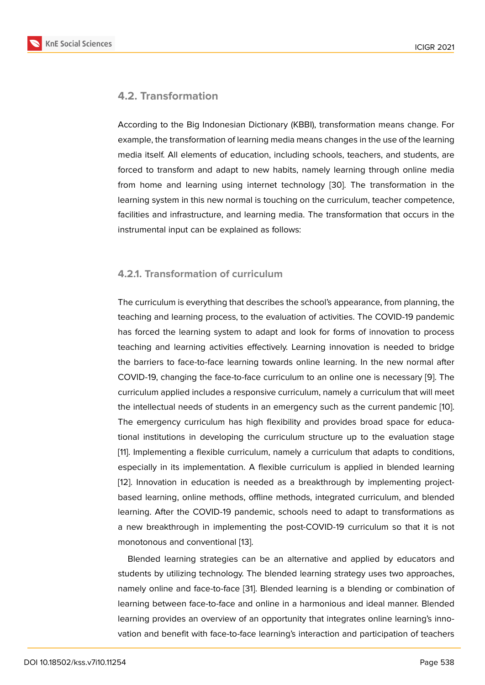### **4.2. Transformation**

According to the Big Indonesian Dictionary (KBBI), transformation means change. For example, the transformation of learning media means changes in the use of the learning media itself. All elements of education, including schools, teachers, and students, are forced to transform and adapt to new habits, namely learning through online media from home and learning using internet technology [30]. The transformation in the learning system in this new normal is touching on the curriculum, teacher competence, facilities and infrastructure, and learning media. The transformation that occurs in the instrumental input can be explained as follows:

#### **4.2.1. Transformation of curriculum**

The curriculum is everything that describes the school's appearance, from planning, the teaching and learning process, to the evaluation of activities. The COVID-19 pandemic has forced the learning system to adapt and look for forms of innovation to process teaching and learning activities effectively. Learning innovation is needed to bridge the barriers to face-to-face learning towards online learning. In the new normal after COVID-19, changing the face-to-face curriculum to an online one is necessary [9]. The curriculum applied includes a responsive curriculum, namely a curriculum that will meet the intellectual needs of students in an emergency such as the current pandemic [10]. The emergency curriculum has high flexibility and provides broad space for [e](#page-14-7)ducational institutions in developing the curriculum structure up to the evaluation stage [11]. Implementing a flexible curriculum, namely a curriculum that adapts to conditi[ons](#page-15-8), especially in its implementation. A flexible curriculum is applied in blended learning [12]. Innovation in education is needed as a breakthrough by implementing project[ba](#page-15-9)sed learning, online methods, offline methods, integrated curriculum, and blended learning. After the COVID-19 pandemic, schools need to adapt to transformations as [a n](#page-15-0)ew breakthrough in implementing the post-COVID-19 curriculum so that it is not monotonous and conventional [13].

Blended learning strategies can be an alternative and applied by educators and students by utilizing technology. The blended learning strategy uses two approaches, namely online and face-to-face [\[3](#page-15-10)1]. Blended learning is a blending or combination of learning between face-to-face and online in a harmonious and ideal manner. Blended learning provides an overview of an opportunity that integrates online learning's innovation and benefit with face-to-f[ace](#page-16-6) learning's interaction and participation of teachers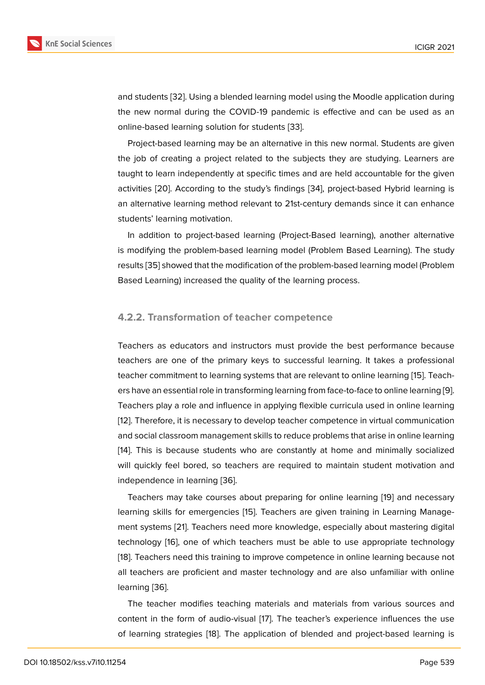and students [32]. Using a blended learning model using the Moodle application during the new normal during the COVID-19 pandemic is effective and can be used as an online-based learning solution for students [33].

Project-bas[ed](#page-17-0) learning may be an alternative in this new normal. Students are given the job of creating a project related to the subjects they are studying. Learners are taught to learn independently at specific ti[mes](#page-17-1) and are held accountable for the given activities [20]. According to the study's findings [34], project-based Hybrid learning is an alternative learning method relevant to 21st-century demands since it can enhance students' learning motivation.

In addi[tion](#page-15-7) to project-based learning (Project[-Ba](#page-17-2)sed learning), another alternative is modifying the problem-based learning model (Problem Based Learning). The study results [35] showed that the modification of the problem-based learning model (Problem Based Learning) increased the quality of the learning process.

#### **4.2.2. Transformation of teacher competence**

Teachers as educators and instructors must provide the best performance because teachers are one of the primary keys to successful learning. It takes a professional teacher commitment to learning systems that are relevant to online learning [15]. Teachers have an essential role in transforming learning from face-to-face to online learning [9]. Teachers play a role and influence in applying flexible curricula used in online learning [12]. Therefore, it is necessary to develop teacher competence in virtual com[mu](#page-15-2)nication and social classroom management skills to reduce problems that arise in online learni[ng](#page-14-7) [14]. This is because students who are constantly at home and minimally socialized [will](#page-15-0) quickly feel bored, so teachers are required to maintain student motivation and independence in learning [36].

[T](#page-15-1)eachers may take courses about preparing for online learning [19] and necessary learning skills for emergencies [15]. Teachers are given training in Learning Management systems [21]. Teache[rs n](#page-17-3)eed more knowledge, especially about mastering digital technology [16], one of which teachers must be able to use appr[opr](#page-15-6)iate technology [18]. Teachers need this training [to i](#page-15-2)mprove competence in online learning because not all teachers ar[e p](#page-16-0)roficient and master technology and are also unfamiliar with online learning [36][.](#page-15-3)

[T](#page-15-5)he teacher modifies teaching materials and materials from various sources and content in the form of audio-visual [17]. The teacher's experience influences the use of learni[ng](#page-17-3) strategies [18]. The application of blended and project-based learning is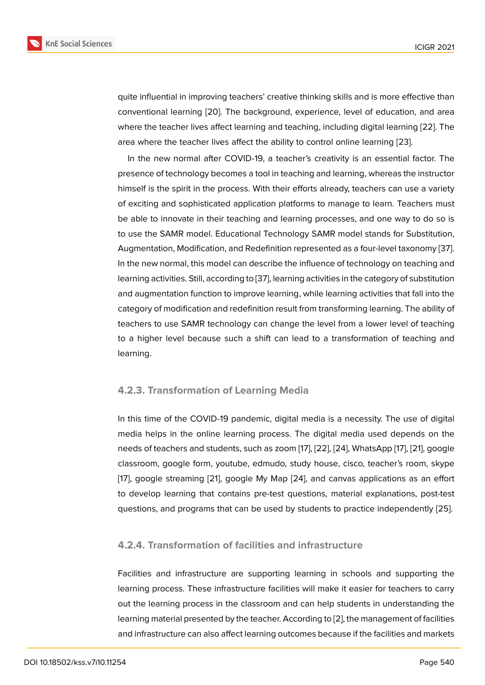quite influential in improving teachers' creative thinking skills and is more effective than conventional learning [20]. The background, experience, level of education, and area where the teacher lives affect learning and teaching, including digital learning [22]. The area where the teacher lives affect the ability to control online learning [23].

In the new normal [afte](#page-15-7)r COVID-19, a teacher's creativity is an essential factor. The presence of technology becomes a tool in teaching and learning, whereas the i[nstr](#page-16-1)uctor himself is the spirit in the process. With their efforts already, teachers ca[n u](#page-16-2)se a variety of exciting and sophisticated application platforms to manage to learn. Teachers must be able to innovate in their teaching and learning processes, and one way to do so is to use the SAMR model. Educational Technology SAMR model stands for Substitution, Augmentation, Modification, and Redefinition represented as a four-level taxonomy [37]. In the new normal, this model can describe the influence of technology on teaching and learning activities. Still, according to [37], learning activities in the category of substitution and augmentation function to improve learning, while learning activities that fall into [the](#page-17-4) category of modification and redefinition result from transforming learning. The ability of teachers to use SAMR technology [can](#page-17-4) change the level from a lower level of teaching to a higher level because such a shift can lead to a transformation of teaching and learning.

#### **4.2.3. Transformation of Learning Media**

In this time of the COVID-19 pandemic, digital media is a necessity. The use of digital media helps in the online learning process. The digital media used depends on the needs of teachers and students, such as zoom [17], [22], [24], WhatsApp [17], [21], google classroom, google form, youtube, edmudo, study house, cisco, teacher's room, skype [17], google streaming [21], google My Map [24], and canvas applications as an effort to develop learning that contains pre-test qu[est](#page-15-4)io[ns,](#page-16-1) [mate](#page-16-7)rial explan[atio](#page-15-4)n[s, p](#page-16-0)ost-test questions, and programs that can be used by students to practice independently [25].

### **4.2.4. Transformation of facilities and infrastructure**

Facilities and infrastructure are supporting learning in schools and supporting the learning process. These infrastructure facilities will make it easier for teachers to carry out the learning process in the classroom and can help students in understanding the learning material presented by the teacher. According to [2], the management of facilities and infrastructure can also affect learning outcomes because if the facilities and markets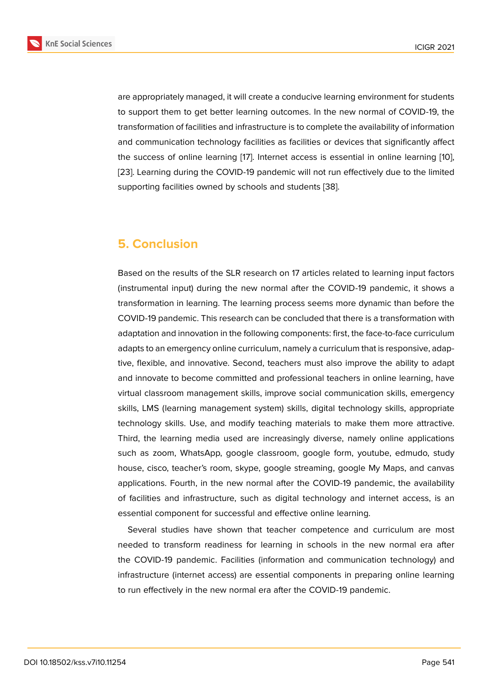are appropriately managed, it will create a conducive learning environment for students to support them to get better learning outcomes. In the new normal of COVID-19, the transformation of facilities and infrastructure is to complete the availability of information and communication technology facilities as facilities or devices that significantly affect the success of online learning [17]. Internet access is essential in online learning [10], [23]. Learning during the COVID-19 pandemic will not run effectively due to the limited supporting facilities owned by schools and students [38].

## **5. Conclusion**

Based on the results of the SLR research on 17 articles related to learning input factors (instrumental input) during the new normal after the COVID-19 pandemic, it shows a transformation in learning. The learning process seems more dynamic than before the COVID-19 pandemic. This research can be concluded that there is a transformation with adaptation and innovation in the following components: first, the face-to-face curriculum adapts to an emergency online curriculum, namely a curriculum that is responsive, adaptive, flexible, and innovative. Second, teachers must also improve the ability to adapt and innovate to become committed and professional teachers in online learning, have virtual classroom management skills, improve social communication skills, emergency skills, LMS (learning management system) skills, digital technology skills, appropriate technology skills. Use, and modify teaching materials to make them more attractive. Third, the learning media used are increasingly diverse, namely online applications such as zoom, WhatsApp, google classroom, google form, youtube, edmudo, study house, cisco, teacher's room, skype, google streaming, google My Maps, and canvas applications. Fourth, in the new normal after the COVID-19 pandemic, the availability of facilities and infrastructure, such as digital technology and internet access, is an essential component for successful and effective online learning.

Several studies have shown that teacher competence and curriculum are most needed to transform readiness for learning in schools in the new normal era after the COVID-19 pandemic. Facilities (information and communication technology) and infrastructure (internet access) are essential components in preparing online learning to run effectively in the new normal era after the COVID-19 pandemic.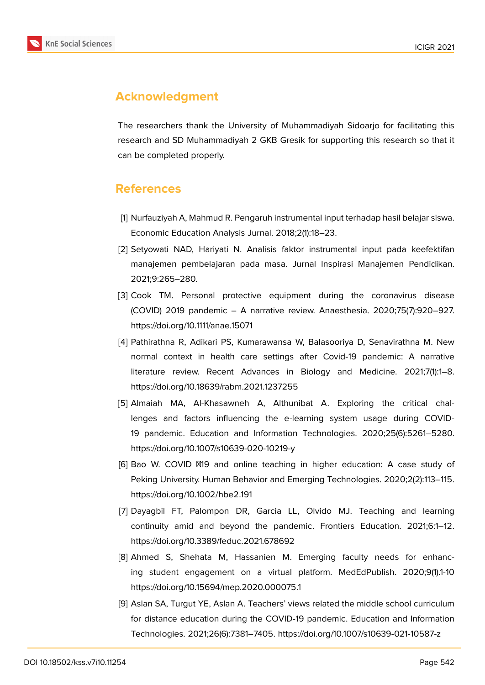

## **Acknowledgment**

The researchers thank the University of Muhammadiyah Sidoarjo for facilitating this research and SD Muhammadiyah 2 GKB Gresik for supporting this research so that it can be completed properly.

### **References**

- <span id="page-14-0"></span>[1] Nurfauziyah A, Mahmud R. Pengaruh instrumental input terhadap hasil belajar siswa. Economic Education Analysis Jurnal. 2018;2(1):18–23.
- <span id="page-14-1"></span>[2] Setyowati NAD, Hariyati N. Analisis faktor instrumental input pada keefektifan manajemen pembelajaran pada masa. Jurnal Inspirasi Manajemen Pendidikan. 2021;9:265–280.
- <span id="page-14-2"></span>[3] Cook TM. Personal protective equipment during the coronavirus disease (COVID) 2019 pandemic – A narrative review. Anaesthesia. 2020;75(7):920–927. https://doi.org/10.1111/anae.15071
- <span id="page-14-3"></span>[4] Pathirathna R, Adikari PS, Kumarawansa W, Balasooriya D, Senavirathna M. New normal context in health care settings after Covid-19 pandemic: A narrative literature review. Recent Advances in Biology and Medicine. 2021;7(1):1–8. https://doi.org/10.18639/rabm.2021.1237255
- <span id="page-14-4"></span>[5] Almaiah MA, Al-Khasawneh A, Althunibat A. Exploring the critical challenges and factors influencing the e-learning system usage during COVID-19 pandemic. Education and Information Technologies. 2020;25(6):5261–5280. https://doi.org/10.1007/s10639-020-10219-y
- <span id="page-14-5"></span>[6] Bao W. COVID 219 and online teaching in higher education: A case study of Peking University. Human Behavior and Emerging Technologies. 2020;2(2):113–115. https://doi.org/10.1002/hbe2.191
- <span id="page-14-6"></span>[7] Dayagbil FT, Palompon DR, Garcia LL, Olvido MJ. Teaching and learning continuity amid and beyond the pandemic. Frontiers Education. 2021;6:1–12. https://doi.org/10.3389/feduc.2021.678692
- [8] Ahmed S, Shehata M, Hassanien M. Emerging faculty needs for enhancing student engagement on a virtual platform. MedEdPublish. 2020;9(1).1-10 https://doi.org/10.15694/mep.2020.000075.1
- <span id="page-14-7"></span>[9] Aslan SA, Turgut YE, Aslan A. Teachers' views related the middle school curriculum for distance education during the COVID-19 pandemic. Education and Information Technologies. 2021;26(6):7381–7405. https://doi.org/10.1007/s10639-021-10587-z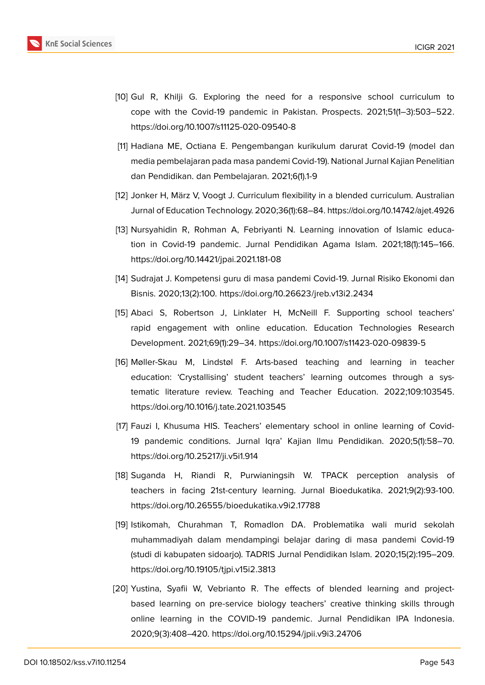

- <span id="page-15-8"></span>[10] Gul R, Khilji G. Exploring the need for a responsive school curriculum to cope with the Covid-19 pandemic in Pakistan. Prospects. 2021;51(1–3):503–522. https://doi.org/10.1007/s11125-020-09540-8
- <span id="page-15-9"></span>[11] Hadiana ME, Octiana E. Pengembangan kurikulum darurat Covid-19 (model dan media pembelajaran pada masa pandemi Covid-19). National Jurnal Kajian Penelitian dan Pendidikan. dan Pembelajaran. 2021;6(1).1-9
- <span id="page-15-0"></span>[12] Jonker H, März V, Voogt J. Curriculum flexibility in a blended curriculum. Australian Jurnal of Education Technology. 2020;36(1):68–84. https://doi.org/10.14742/ajet.4926
- <span id="page-15-10"></span>[13] Nursyahidin R, Rohman A, Febriyanti N. Learning innovation of Islamic education in Covid-19 pandemic. Jurnal Pendidikan Agama Islam. 2021;18(1):145–166. https://doi.org/10.14421/jpai.2021.181-08
- <span id="page-15-1"></span>[14] Sudrajat J. Kompetensi guru di masa pandemi Covid-19. Jurnal Risiko Ekonomi dan Bisnis. 2020;13(2):100. https://doi.org/10.26623/jreb.v13i2.2434
- <span id="page-15-2"></span>[15] Abaci S, Robertson J, Linklater H, McNeill F. Supporting school teachers' rapid engagement with online education. Education Technologies Research Development. 2021;69(1):29–34. https://doi.org/10.1007/s11423-020-09839-5
- <span id="page-15-3"></span>[16] Møller-Skau M, Lindstøl F. Arts-based teaching and learning in teacher education: 'Crystallising' student teachers' learning outcomes through a systematic literature review. Teaching and Teacher Education. 2022;109:103545. https://doi.org/10.1016/j.tate.2021.103545
- <span id="page-15-4"></span>[17] Fauzi I, Khusuma HIS. Teachers' elementary school in online learning of Covid-19 pandemic conditions. Jurnal Iqra' Kajian Ilmu Pendidikan. 2020;5(1):58–70. https://doi.org/10.25217/ji.v5i1.914
- <span id="page-15-5"></span>[18] Suganda H, Riandi R, Purwianingsih W. TPACK perception analysis of teachers in facing 21st-century learning. Jurnal Bioedukatika. 2021;9(2):93-100. https://doi.org/10.26555/bioedukatika.v9i2.17788
- <span id="page-15-6"></span>[19] Istikomah, Churahman T, Romadlon DA. Problematika wali murid sekolah muhammadiyah dalam mendampingi belajar daring di masa pandemi Covid-19 (studi di kabupaten sidoarjo). TADRIS Jurnal Pendidikan Islam. 2020;15(2):195–209. https://doi.org/10.19105/tjpi.v15i2.3813
- <span id="page-15-7"></span>[20] Yustina, Syafii W, Vebrianto R. The effects of blended learning and projectbased learning on pre-service biology teachers' creative thinking skills through online learning in the COVID-19 pandemic. Jurnal Pendidikan IPA Indonesia. 2020;9(3):408–420. https://doi.org/10.15294/jpii.v9i3.24706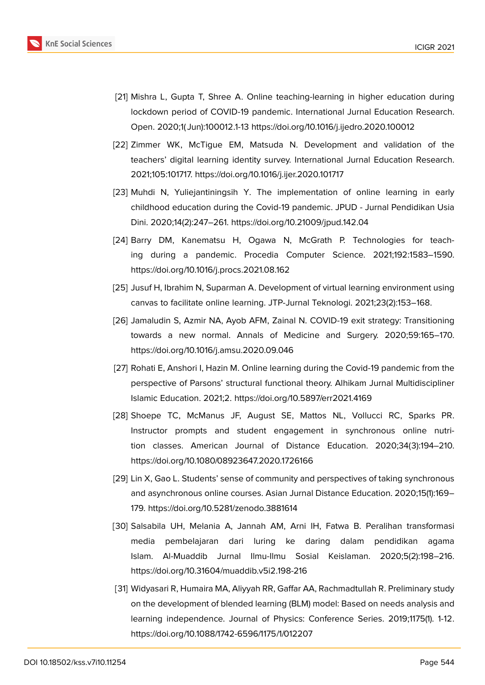

- <span id="page-16-0"></span>[21] Mishra L, Gupta T, Shree A. Online teaching-learning in higher education during lockdown period of COVID-19 pandemic. International Jurnal Education Research. Open. 2020;1( Jun):100012.1-13 https://doi.org/10.1016/j.ijedro.2020.100012
- <span id="page-16-1"></span>[22] Zimmer WK, McTigue EM, Matsuda N. Development and validation of the teachers' digital learning identity survey. International Jurnal Education Research. 2021;105:101717. https://doi.org/10.1016/j.ijer.2020.101717
- <span id="page-16-2"></span>[23] Muhdi N, Yuliejantiningsih Y. The implementation of online learning in early childhood education during the Covid-19 pandemic. JPUD - Jurnal Pendidikan Usia Dini. 2020;14(2):247–261. https://doi.org/10.21009/jpud.142.04
- <span id="page-16-7"></span>[24] Barry DM, Kanematsu H, Ogawa N, McGrath P. Technologies for teaching during a pandemic. Procedia Computer Science. 2021;192:1583–1590. https://doi.org/10.1016/j.procs.2021.08.162
- [25] Jusuf H, Ibrahim N, Suparman A. Development of virtual learning environment using canvas to facilitate online learning. JTP-Jurnal Teknologi. 2021;23(2):153–168.
- <span id="page-16-3"></span>[26] Jamaludin S, Azmir NA, Ayob AFM, Zainal N. COVID-19 exit strategy: Transitioning towards a new normal. Annals of Medicine and Surgery. 2020;59:165–170. https://doi.org/10.1016/j.amsu.2020.09.046
- <span id="page-16-4"></span>[27] Rohati E, Anshori I, Hazin M. Online learning during the Covid-19 pandemic from the perspective of Parsons' structural functional theory. Alhikam Jurnal Multidiscipliner Islamic Education. 2021;2. https://doi.org/10.5897/err2021.4169
- <span id="page-16-5"></span>[28] Shoepe TC, McManus JF, August SE, Mattos NL, Vollucci RC, Sparks PR. Instructor prompts and student engagement in synchronous online nutrition classes. American Journal of Distance Education. 2020;34(3):194–210. https://doi.org/10.1080/08923647.2020.1726166
- [29] Lin X, Gao L. Students' sense of community and perspectives of taking synchronous and asynchronous online courses. Asian Jurnal Distance Education. 2020;15(1):169– 179. https://doi.org/10.5281/zenodo.3881614
- [30] Salsabila UH, Melania A, Jannah AM, Arni IH, Fatwa B. Peralihan transformasi media pembelajaran dari luring ke daring dalam pendidikan agama Islam. Al-Muaddib Jurnal Ilmu-Ilmu Sosial Keislaman. 2020;5(2):198–216. https://doi.org/10.31604/muaddib.v5i2.198-216
- <span id="page-16-6"></span>[31] Widyasari R, Humaira MA, Aliyyah RR, Gaffar AA, Rachmadtullah R. Preliminary study on the development of blended learning (BLM) model: Based on needs analysis and learning independence. Journal of Physics: Conference Series. 2019;1175(1). 1-12. https://doi.org/10.1088/1742-6596/1175/1/012207